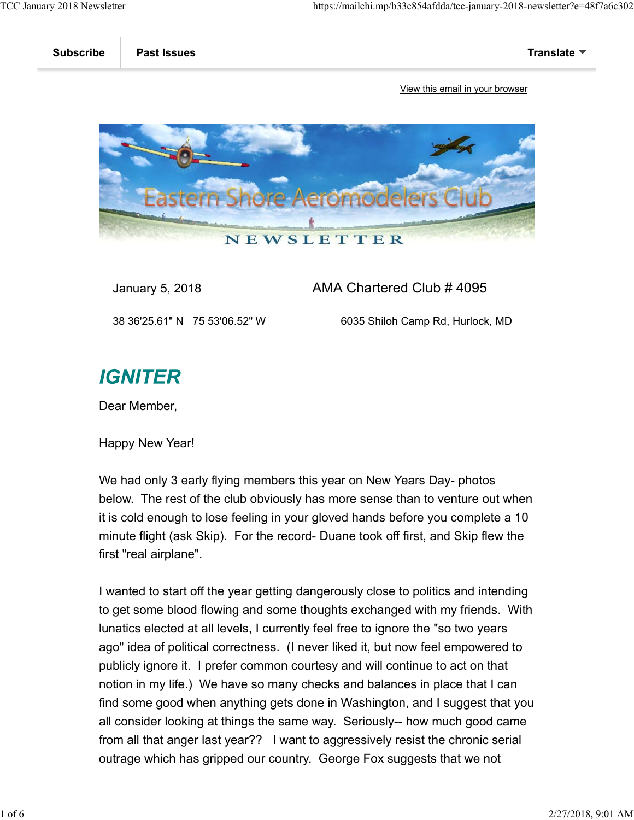

#### January 5, 2018 AMA Chartered Club # 4095

38 36'25.61" N 75 53'06.52" W 6035 Shiloh Camp Rd, Hurlock, MD

# **IGNITER**

Dear Member,

Happy New Year!

We had only 3 early flying members this year on New Years Day- photos below. The rest of the club obviously has more sense than to venture out when it is cold enough to lose feeling in your gloved hands before you complete a 10 minute flight (ask Skip). For the record- Duane took off first, and Skip flew the first "real airplane".

I wanted to start off the year getting dangerously close to politics and intending to get some blood flowing and some thoughts exchanged with my friends. With lunatics elected at all levels, I currently feel free to ignore the "so two years ago" idea of political correctness. (I never liked it, but now feel empowered to publicly ignore it. I prefer common courtesy and will continue to act on that notion in my life.) We have so many checks and balances in place that I can find some good when anything gets done in Washington, and I suggest that you all consider looking at things the same way. Seriously-- how much good came from all that anger last year?? I want to aggressively resist the chronic serial outrage which has gripped our country. George Fox suggests that we not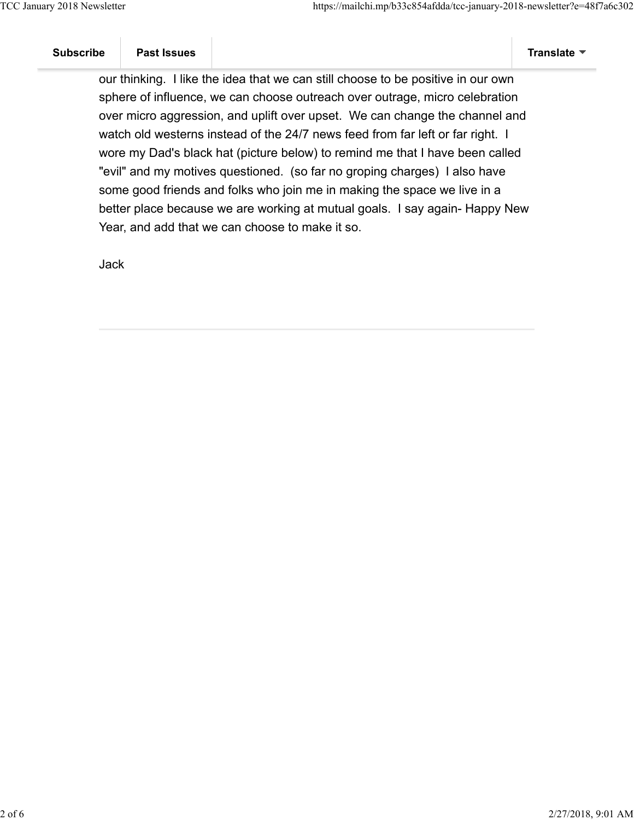our thinking. I like the idea that we can still choose to be positive in our own sphere of influence, we can choose outreach over outrage, micro celebration over micro aggression, and uplift over upset. We can change the channel and watch old westerns instead of the 24/7 news feed from far left or far right. I wore my Dad's black hat (picture below) to remind me that I have been called "evil" and my motives questioned. (so far no groping charges) I also have some good friends and folks who join me in making the space we live in a better place because we are working at mutual goals. I say again- Happy New Year, and add that we can choose to make it so.

Jack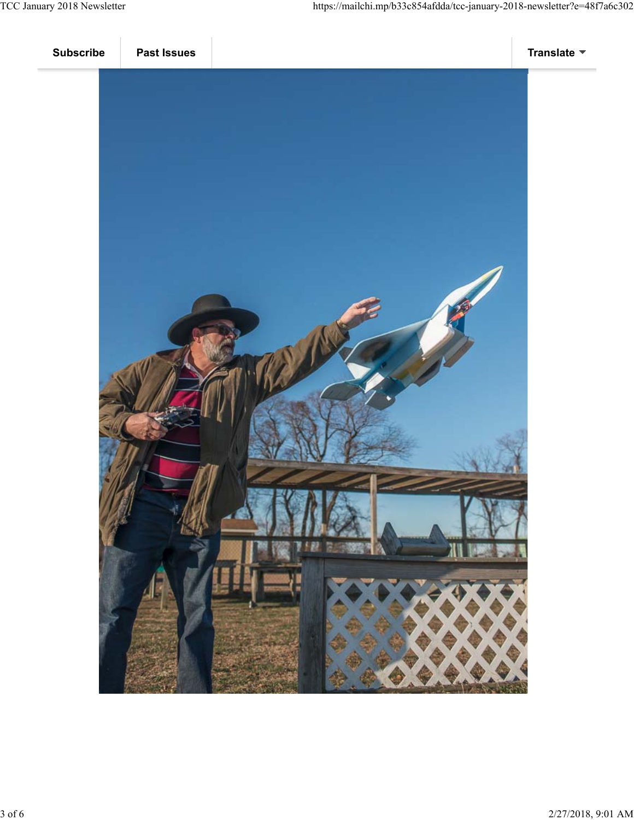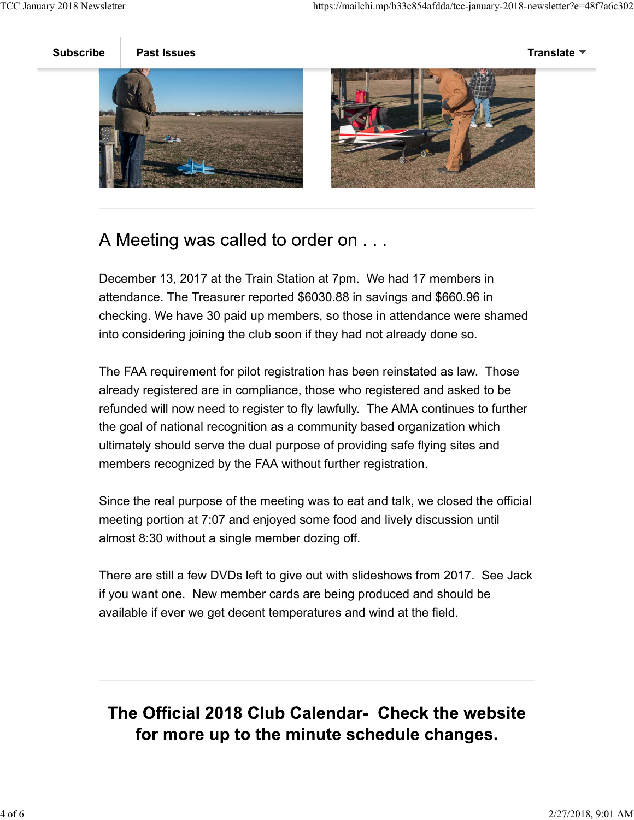

### A Meeting was called to order on . . .

December 13, 2017 at the Train Station at 7pm. We had 17 members in attendance. The Treasurer reported \$6030.88 in savings and \$660.96 in checking. We have 30 paid up members, so those in attendance were shamed into considering joining the club soon if they had not already done so.

The FAA requirement for pilot registration has been reinstated as law. Those already registered are in compliance, those who registered and asked to be refunded will now need to register to fly lawfully. The AMA continues to further the goal of national recognition as a community based organization which ultimately should serve the dual purpose of providing safe flying sites and members recognized by the FAA without further registration.

Since the real purpose of the meeting was to eat and talk, we closed the official meeting portion at 7:07 and enjoyed some food and lively discussion until almost 8:30 without a single member dozing off.

There are still a few DVDs left to give out with slideshows from 2017. See Jack if you want one. New member cards are being produced and should be available if ever we get decent temperatures and wind at the field.

## The Official 2018 Club Calendar- Check the website for more up to the minute schedule changes.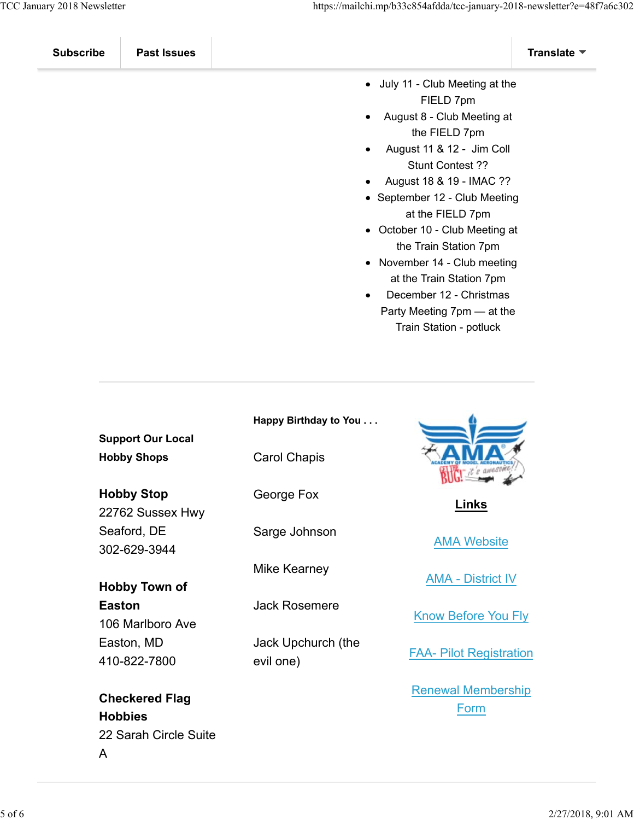- July 11 Club Meeting at the FIELD 7pm
- August 8 Club Meeting at the FIELD 7pm
- August 11 & 12 Jim Coll  $\bullet$ Stunt Contest ??
- August 18 & 19 IMAC ??  $\bullet$
- September 12 Club Meeting at the FIELD 7pm
- October 10 Club Meeting at the Train Station 7pm
- November 14 Club meeting at the Train Station 7pm
- December 12 Christmas  $\bullet$ Party Meeting 7pm — at the Train Station - potluck

Form

| <b>Support Our Local</b>              | Happy Birthday to You           |                                |
|---------------------------------------|---------------------------------|--------------------------------|
| <b>Hobby Shops</b>                    | <b>Carol Chapis</b>             |                                |
| <b>Hobby Stop</b><br>22762 Sussex Hwy | George Fox                      | Links                          |
| Seaford, DE<br>302-629-3944           | Sarge Johnson                   | <b>AMA Website</b>             |
| Hobby Town of                         | Mike Kearney                    | <b>AMA - District IV</b>       |
| <b>Easton</b><br>106 Marlboro Ave     | <b>Jack Rosemere</b>            | <b>Know Before You Fly</b>     |
| Easton, MD<br>410-822-7800            | Jack Upchurch (the<br>evil one) | <b>FAA- Pilot Registration</b> |
| <b>Checkered Flag</b>                 |                                 | <b>Renewal Membership</b>      |

**Hobbies** 22 Sarah Circle Suite A